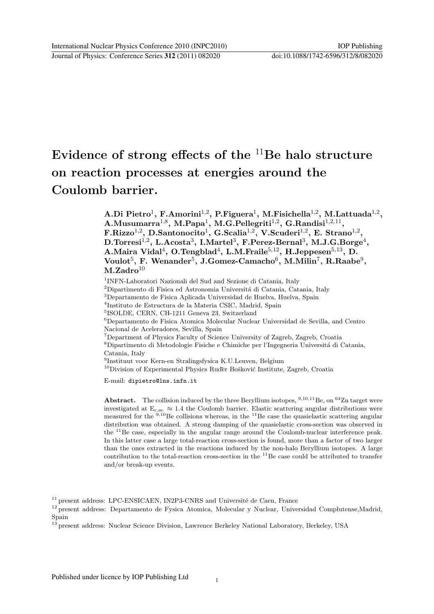# Evidence of strong effects of the  $11Be$  halo structure on reaction processes at energies around the Coulomb barrier.

A.Di Pietro $^1$ , F.Amorini $^{1,2}$ , P.Figuera $^1$ , M.Fisichella $^{1,2}$ , M.Lattuada $^{1,2}$ ,  $\mathbf{A}. \mathbf{M}$ usumarra $^{1,8},\ \mathbf{M}. \mathbf{Papa^1},\ \mathbf{M}. \mathbf{G}. \mathbf{Pellegriti}^{1,2},\ \mathbf{G}. \mathbf{Randisi}^{1,2,11},$  $\rm F.Rizzo^{1,2},\,D.Santonocito^1,\,G.Scalia^{1,2},\,V.Scuderi^{1,2},\,E.\,Strano^{1,2},$  $\rm\,D. Torresi^{1,2},\ L. Acosta^{3},\ L. Martel^{3},\ F. Perez-Bernal^{3},\ M. J. G. Borge^{4},$ A.Maira Vidal $^4$ , O.Tengblad $^4$ , L.M.Fraile $^{5,12}$ , H.Jeppesen $^{5,13}$ , D.  $\rm Voulot^5,\, F.\, \, Wenander^5,\, J.Gomez-Camacho^6,\, M.Milin^7,\, R.Raabe^9,$  $M.Zadro<sup>10</sup>$ 

1 INFN-Laboratori Nazionali del Sud and Sezione di Catania, Italy

 $2$ Dipartimento di Fisica ed Astronomia Universitá di Catania, Catania, Italy

<sup>3</sup>Departamento de Fisica Aplicada Universidad de Huelva, Huelva, Spain

4 Instituto de Estructura de la Materia CSIC, Madrid, Spain

5 ISOLDE, CERN, CH-1211 Geneva 23, Switzerland

<sup>6</sup>Departamento de Fisica Atomica Molecular Nuclear Universidad de Sevilla, and Centro Nacional de Aceleradores, Sevilla, Spain

<sup>7</sup>Department of Physics Faculty of Science University of Zagreb, Zagreb, Croatia

 $^8$ Dipartimento di Metodologie Fisiche e Chimiche per l'Ingegneria Università di Catania, Catania, Italy

9 Instituut voor Kern-en Stralingsfysica K.U.Leuven, Belgium

 $10$ Division of Experimental Physics Ruder Bošković Institute, Zagreb, Croatia

E-mail: dipietro@lns.infn.it

Abstract. The collision induced by the three Beryllium isotopes,  $9,10,11$  Be, on  $64$ Zn target were investigated at  $E_{c.m.} \approx 1.4$  the Coulomb barrier. Elastic scattering angular distributions were measured for the  $9,10$ Be collisions whereas, in the  $11$ Be case the quasielastic scattering angular distribution was obtained. A strong damping of the quasielastic cross-section was observed in the <sup>11</sup>Be case, especially in the angular range around the Coulomb-nuclear interference peak. In this latter case a large total-reaction cross-section is found, more than a factor of two larger than the ones extracted in the reactions induced by the non-halo Beryllium isotopes. A large contribution to the total-reaction cross-section in the  $^{11}$ Be case could be attributed to transfer and/or break-up events.

 $11$  present address: LPC-ENSICAEN, IN2P3-CNRS and Université de Caen, France

<sup>&</sup>lt;sup>12</sup> present address: Departamento de Fysica Atomica, Molecular y Nuclear, Universidad Complutense,Madrid, Spain

 $^{13}$  present address: Nuclear Science Division, Lawrence Berkeley National Laboratory, Berkeley, USA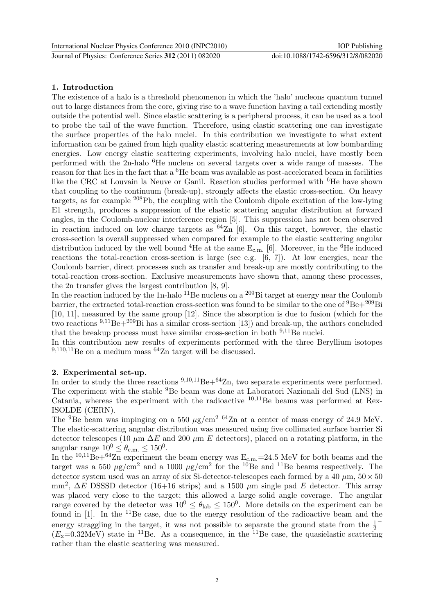# 1. Introduction

The existence of a halo is a threshold phenomenon in which the 'halo' nucleons quantum tunnel out to large distances from the core, giving rise to a wave function having a tail extending mostly outside the potential well. Since elastic scattering is a peripheral process, it can be used as a tool to probe the tail of the wave function. Therefore, using elastic scattering one can investigate the surface properties of the halo nuclei. In this contribution we investigate to what extent information can be gained from high quality elastic scattering measurements at low bombarding energies. Low energy elastic scattering experiments, involving halo nuclei, have mostly been performed with the 2n-halo <sup>6</sup>He nucleus on several targets over a wide range of masses. The reason for that lies in the fact that a <sup>6</sup>He beam was available as post-accelerated beam in facilities like the CRC at Louvain la Neuve or Ganil. Reaction studies performed with <sup>6</sup>He have shown that coupling to the continuum (break-up), strongly affects the elastic cross-section. On heavy targets, as for example <sup>208</sup>Pb, the coupling with the Coulomb dipole excitation of the low-lying E1 strength, produces a suppression of the elastic scattering angular distribution at forward angles, in the Coulomb-nuclear interference region [5]. This suppression has not been observed in reaction induced on low charge targets as  $64\text{Zn}$  [6]. On this target, however, the elastic cross-section is overall suppressed when compared for example to the elastic scattering angular distribution induced by the well bound <sup>4</sup>He at the same  $E_{c.m.}$  [6]. Moreover, in the <sup>6</sup>He induced reactions the total-reaction cross-section is large (see e.g. [6, 7]). At low energies, near the Coulomb barrier, direct processes such as transfer and break-up are mostly contributing to the total-reaction cross-section. Exclusive measurements have shown that, among these processes, the 2n transfer gives the largest contribution [8, 9].

In the reaction induced by the 1n-halo <sup>11</sup>Be nucleus on a <sup>209</sup>Bi target at energy near the Coulomb barrier, the extracted total-reaction cross-section was found to be similar to the one of  ${}^{9}Be+{}^{209}Bi$ [10, 11], measured by the same group [12]. Since the absorption is due to fusion (which for the two reactions  $9,11$ Be+ $209$ Bi has a similar cross-section [13]) and break-up, the authors concluded that the breakup process must have similar cross-section in both  $9,11$ Be nuclei.

In this contribution new results of experiments performed with the three Beryllium isotopes  $9,110,11$  Be on a medium mass  $64$ Zn target will be discussed.

# 2. Experimental set-up.

In order to study the three reactions  $9,10,11$  Be $+64$ Zn, two separate experiments were performed. The experiment with the stable <sup>9</sup>Be beam was done at Laboratori Nazionali del Sud (LNS) in Catania, whereas the experiment with the radioactive  $10,11$ Be beams was performed at Rex-ISOLDE (CERN).

The <sup>9</sup>Be beam was impinging on a 550  $\mu$ g/cm<sup>2 64</sup>Zn at a center of mass energy of 24.9 MeV. The elastic-scattering angular distribution was measured using five collimated surface barrier Si detector telescopes (10  $\mu$ m  $\Delta E$  and 200  $\mu$ m E detectors), placed on a rotating platform, in the angular range  $10^0 \leq \theta_{\rm c.m.} \leq 150^0$ .

In the  $^{10,11}$ Be+ $^{64}$ Zn experiment the beam energy was  $E_{c.m.}=24.5$  MeV for both beams and the target was a 550  $\mu$ g/cm<sup>2</sup> and a 1000  $\mu$ g/cm<sup>2</sup> for the <sup>10</sup>Be and <sup>11</sup>Be beams respectively. The detector system used was an array of six Si-detector-telescopes each formed by a 40  $\mu$ m,  $50 \times 50$ mm<sup>2</sup>,  $\Delta E$  DSSSD detector (16+16 strips) and a 1500  $\mu$ m single pad E detector. This array was placed very close to the target; this allowed a large solid angle coverage. The angular range covered by the detector was  $10^0 \le \theta_{\rm lab} \le 150^0$ . More details on the experiment can be found in [1]. In the <sup>11</sup>Be case, due to the energy resolution of the radioactive beam and the energy straggling in the target, it was not possible to separate the ground state from the  $\frac{1}{2}^{-}$  $(E_{\rm x}=0.32$ MeV) state in <sup>11</sup>Be. As a consequence, in the <sup>11</sup>Be case, the quasielastic scattering rather than the elastic scattering was measured.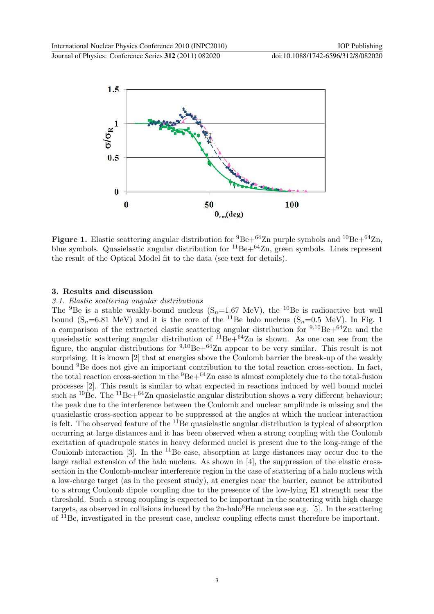

Figure 1. Elastic scattering angular distribution for  ${}^{9}Be+{}^{64}Zn$  purple symbols and  ${}^{10}Be+{}^{64}Zn$ , blue symbols. Quasielastic angular distribution for  ${}^{11}Be+{}^{64}Zn$ , green symbols. Lines represent the result of the Optical Model fit to the data (see text for details).

## 3. Results and discussion

#### 3.1. Elastic scattering angular distributions

The <sup>9</sup>Be is a stable weakly-bound nucleus  $(S_n=1.67 \text{ MeV})$ , the <sup>10</sup>Be is radioactive but well bound  $(S_n=6.81 \text{ MeV})$  and it is the core of the <sup>11</sup>Be halo nucleus  $(S_n=0.5 \text{ MeV})$ . In Fig. 1 a comparison of the extracted elastic scattering angular distribution for  $9,10Be+64Zn$  and the quasielastic scattering angular distribution of  ${}^{11}Be+{}^{64}Zn$  is shown. As one can see from the figure, the angular distributions for  $9,10$ Be+ $64$ Zn appear to be very similar. This result is not surprising. It is known [2] that at energies above the Coulomb barrier the break-up of the weakly bound <sup>9</sup>Be does not give an important contribution to the total reaction cross-section. In fact, the total reaction cross-section in the  ${}^{9}Be+{}^{64}Zn$  case is almost completely due to the total-fusion processes [2]. This result is similar to what expected in reactions induced by well bound nuclei such as  ${}^{10}Be$ . The  ${}^{11}Be+{}^{64}Zn$  quasielastic angular distribution shows a very different behaviour; the peak due to the interference between the Coulomb and nuclear amplitude is missing and the quasielastic cross-section appear to be suppressed at the angles at which the nuclear interaction is felt. The observed feature of the  $^{11}$ Be quasielastic angular distribution is typical of absorption occurring at large distances and it has been observed when a strong coupling with the Coulomb excitation of quadrupole states in heavy deformed nuclei is present due to the long-range of the Coulomb interaction  $[3]$ . In the <sup>11</sup>Be case, absorption at large distances may occur due to the large radial extension of the halo nucleus. As shown in [4], the suppression of the elastic crosssection in the Coulomb-nuclear interference region in the case of scattering of a halo nucleus with a low-charge target (as in the present study), at energies near the barrier, cannot be attributed to a strong Coulomb dipole coupling due to the presence of the low-lying E1 strength near the threshold. Such a strong coupling is expected to be important in the scattering with high charge targets, as observed in collisions induced by the  $2n$ -halo<sup>6</sup>He nucleus see e.g. [5]. In the scattering of <sup>11</sup>Be, investigated in the present case, nuclear coupling effects must therefore be important.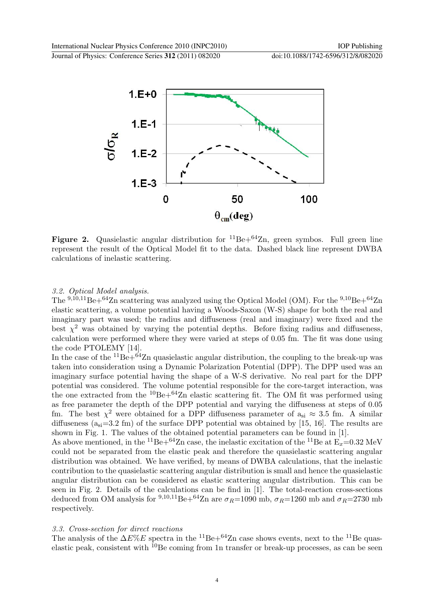

Figure 2. Quasielastic angular distribution for  ${}^{11}Be+{}^{64}Zn$ , green symbos. Full green line represent the result of the Optical Model fit to the data. Dashed black line represent DWBA calculations of inelastic scattering.

## 3.2. Optical Model analysis.

The <sup>9,10,11</sup>Be+<sup>64</sup>Zn scattering was analyzed using the Optical Model (OM). For the <sup>9,10</sup>Be+<sup>64</sup>Zn elastic scattering, a volume potential having a Woods-Saxon (W-S) shape for both the real and imaginary part was used; the radius and diffuseness (real and imaginary) were fixed and the best  $\chi^2$  was obtained by varying the potential depths. Before fixing radius and diffuseness, calculation were performed where they were varied at steps of 0.05 fm. The fit was done using the code PTOLEMY [14].

In the case of the  ${}^{11}Be+{}^{64}Zn$  quasielastic angular distribution, the coupling to the break-up was taken into consideration using a Dynamic Polarization Potential (DPP). The DPP used was an imaginary surface potential having the shape of a W-S derivative. No real part for the DPP potential was considered. The volume potential responsible for the core-target interaction, was the one extracted from the  ${}^{10}Be+{}^{64}Zn$  elastic scattering fit. The OM fit was performed using as free parameter the depth of the DPP potential and varying the diffuseness at steps of 0.05 fm. The best  $\chi^2$  were obtained for a DPP diffuseness parameter of  $a_{si} \approx 3.5$  fm. A similar diffuseness  $(a_{si}=3.2 \text{ fm})$  of the surface DPP potential was obtained by [15, 16]. The results are shown in Fig. 1. The values of the obtained potential parameters can be found in [1].

As above mentioned, in the <sup>11</sup>Be+<sup>64</sup>Zn case, the inelastic excitation of the <sup>11</sup>Be at  $\vec{E_x}=0.32$  MeV could not be separated from the elastic peak and therefore the quasielastic scattering angular distribution was obtained. We have verified, by means of DWBA calculations, that the inelastic contribution to the quasielastic scattering angular distribution is small and hence the quasielastic angular distribution can be considered as elastic scattering angular distribution. This can be seen in Fig. 2. Details of the calculations can be find in [1]. The total-reaction cross-sections deduced from OM analysis for <sup>9,10,11</sup>Be+<sup>64</sup>Zn are  $\sigma_R$ =1090 mb,  $\sigma_R$ =1260 mb and  $\sigma_R$ =2730 mb respectively.

#### 3.3. Cross-section for direct reactions

The analysis of the  $\Delta E\%E$  spectra in the <sup>11</sup>Be+<sup>64</sup>Zn case shows events, next to the <sup>11</sup>Be quaselastic peak, consistent with  $^{10}$ Be coming from 1n transfer or break-up processes, as can be seen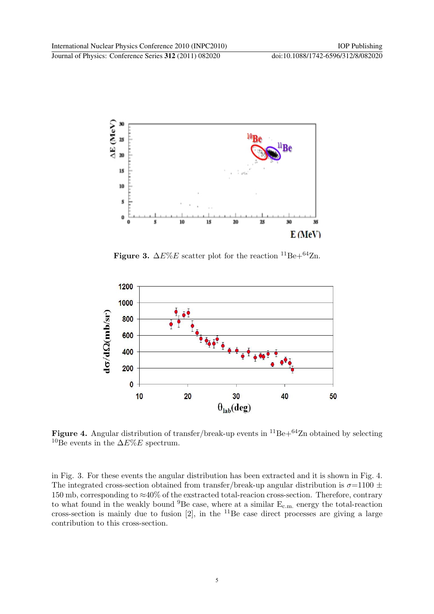

Figure 3.  $\Delta E\%E$  scatter plot for the reaction <sup>11</sup>Be+<sup>64</sup>Zn.



Figure 4. Angular distribution of transfer/break-up events in  ${}^{11}Be+{}^{64}Zn$  obtained by selecting <sup>10</sup>Be events in the  $\Delta E\%E$  spectrum.

in Fig. 3. For these events the angular distribution has been extracted and it is shown in Fig. 4. The integrated cross-section obtained from transfer/break-up angular distribution is  $\sigma=1100 \pm 100$ 150 mb, corresponding to ≈40% of the exstracted total-reacion cross-section. Therefore, contrary to what found in the weakly bound  ${}^{9}Be$  case, where at a similar  $E_{c.m.}$  energy the total-reaction cross-section is mainly due to fusion  $[2]$ , in the <sup>11</sup>Be case direct processes are giving a large contribution to this cross-section.